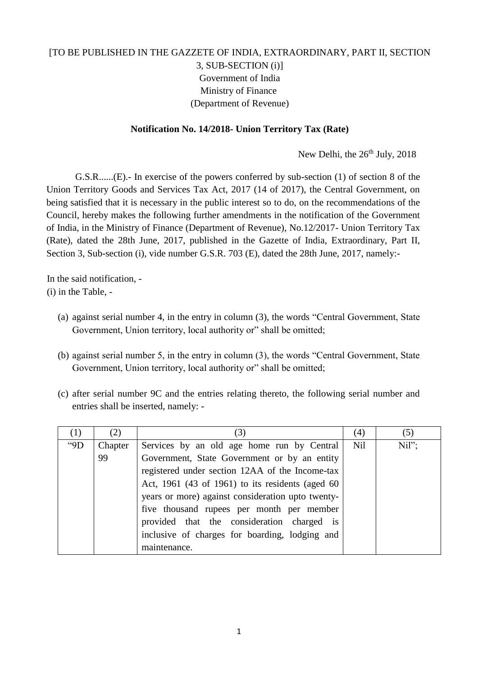## [TO BE PUBLISHED IN THE GAZZETE OF INDIA, EXTRAORDINARY, PART II, SECTION 3, SUB-SECTION (i)] Government of India Ministry of Finance (Department of Revenue)

## **Notification No. 14/2018- Union Territory Tax (Rate)**

New Delhi, the 26<sup>th</sup> July, 2018

G.S.R......(E).- In exercise of the powers conferred by sub-section (1) of section 8 of the Union Territory Goods and Services Tax Act, 2017 (14 of 2017), the Central Government, on being satisfied that it is necessary in the public interest so to do, on the recommendations of the Council, hereby makes the following further amendments in the notification of the Government of India, in the Ministry of Finance (Department of Revenue), No.12/2017- Union Territory Tax (Rate), dated the 28th June, 2017, published in the Gazette of India, Extraordinary, Part II, Section 3, Sub-section (i), vide number G.S.R. 703 (E), dated the 28th June, 2017, namely:-

In the said notification, - (i) in the Table, -

- (a) against serial number 4, in the entry in column (3), the words "Central Government, State Government, Union territory, local authority or" shall be omitted;
- (b) against serial number 5, in the entry in column (3), the words "Central Government, State Government, Union territory, local authority or" shall be omitted;
- (c) after serial number 9C and the entries relating thereto, the following serial number and entries shall be inserted, namely: -

| (1)      | (2)     | (3)                                               | (4)        | (5)  |
|----------|---------|---------------------------------------------------|------------|------|
| $^{49}D$ | Chapter | Services by an old age home run by Central        | <b>Nil</b> | Nil" |
|          | 99      | Government, State Government or by an entity      |            |      |
|          |         | registered under section 12AA of the Income-tax   |            |      |
|          |         | Act, 1961 (43 of 1961) to its residents (aged 60  |            |      |
|          |         | years or more) against consideration upto twenty- |            |      |
|          |         | five thousand rupees per month per member         |            |      |
|          |         | provided that the consideration charged is        |            |      |
|          |         | inclusive of charges for boarding, lodging and    |            |      |
|          |         | maintenance.                                      |            |      |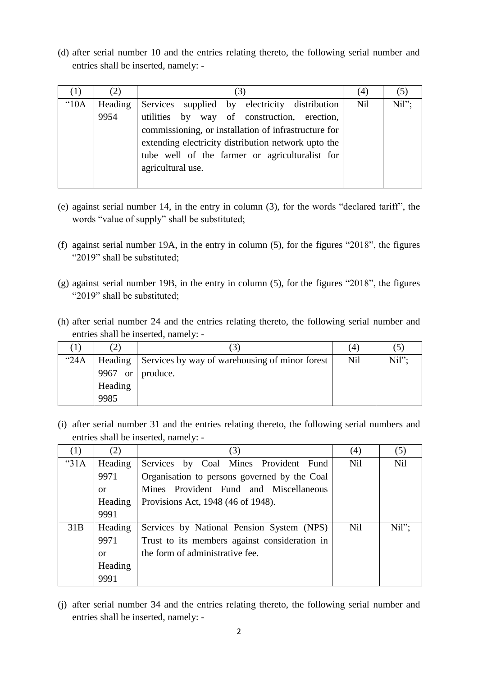(d) after serial number 10 and the entries relating thereto, the following serial number and entries shall be inserted, namely: -

|      | (2)     |                                                      | (4)        |       |
|------|---------|------------------------------------------------------|------------|-------|
| "10A | Heading | supplied by electricity distribution<br>Services     | <b>Nil</b> | Nil"; |
|      | 9954    | utilities by way of construction, erection,          |            |       |
|      |         | commissioning, or installation of infrastructure for |            |       |
|      |         | extending electricity distribution network upto the  |            |       |
|      |         | tube well of the farmer or agriculturalist for       |            |       |
|      |         | agricultural use.                                    |            |       |
|      |         |                                                      |            |       |

- (e) against serial number 14, in the entry in column (3), for the words "declared tariff", the words "value of supply" shall be substituted;
- (f) against serial number 19A, in the entry in column (5), for the figures "2018", the figures "2019" shall be substituted;
- (g) against serial number 19B, in the entry in column (5), for the figures "2018", the figures "2019" shall be substituted;
- (h) after serial number 24 and the entries relating thereto, the following serial number and entries shall be inserted, namely: -

|      | (2)                  | $\mathfrak{I}$                                         | (4)        |          |
|------|----------------------|--------------------------------------------------------|------------|----------|
| "24A |                      | Heading Services by way of warehousing of minor forest | <b>Nil</b> | $Nil"$ : |
|      | 9967 or $ $ produce. |                                                        |            |          |
|      | Heading              |                                                        |            |          |
|      | 9985                 |                                                        |            |          |

(i) after serial number 31 and the entries relating thereto, the following serial numbers and entries shall be inserted, namely: -

| (1)     | (2)     | (3)                                           | (4)        | (5)        |
|---------|---------|-----------------------------------------------|------------|------------|
| " $31A$ | Heading | Services by Coal Mines Provident Fund         | <b>Nil</b> | <b>Nil</b> |
|         | 9971    | Organisation to persons governed by the Coal  |            |            |
|         | 0r      | Mines Provident Fund and Miscellaneous        |            |            |
|         | Heading | Provisions Act, 1948 (46 of 1948).            |            |            |
|         | 9991    |                                               |            |            |
| 31B     | Heading | Services by National Pension System (NPS)     | <b>Nil</b> | Nil"       |
|         | 9971    | Trust to its members against consideration in |            |            |
|         | 0r      | the form of administrative fee.               |            |            |
|         | Heading |                                               |            |            |
|         | 9991    |                                               |            |            |

(j) after serial number 34 and the entries relating thereto, the following serial number and entries shall be inserted, namely: -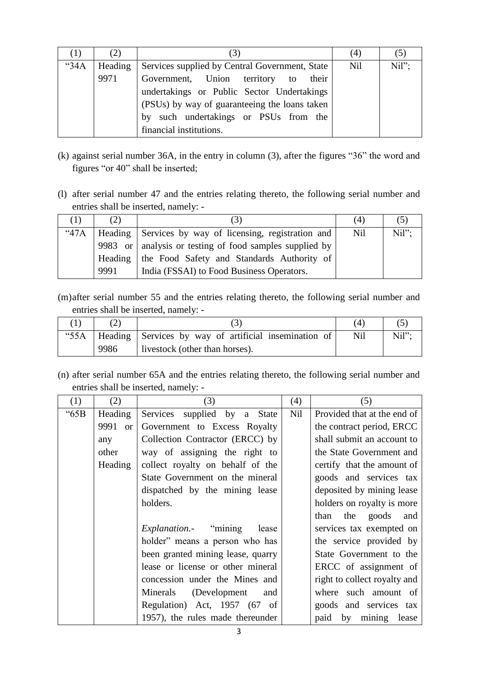|      | (2)     | ' ک                                            | (4) | $\circ$ |
|------|---------|------------------------------------------------|-----|---------|
| "34A | Heading | Services supplied by Central Government, State | Nil | Nil"    |
|      | 9971    | Government, Union territory to<br>their        |     |         |
|      |         | undertakings or Public Sector Undertakings     |     |         |
|      |         | (PSUs) by way of guaranteeing the loans taken  |     |         |
|      |         | by such undertakings or PSUs from the          |     |         |
|      |         | financial institutions.                        |     |         |

- (k) against serial number 36A, in the entry in column (3), after the figures "36" the word and figures "or 40" shall be inserted;
- (l) after serial number 47 and the entries relating thereto, the following serial number and entries shall be inserted, namely: -

| (1)         | (2)  | 3                                                         | (4)        |      |
|-------------|------|-----------------------------------------------------------|------------|------|
| <b>"47A</b> |      | Heading   Services by way of licensing, registration and  | <b>Nil</b> | Nil" |
|             |      | 9983 or   analysis or testing of food samples supplied by |            |      |
|             |      | Heading   the Food Safety and Standards Authority of      |            |      |
|             | 9991 | India (FSSAI) to Food Business Operators.                 |            |      |

(m)after serial number 55 and the entries relating thereto, the following serial number and entries shall be inserted, namely: -

|      |      |                                                         | (4) |       |
|------|------|---------------------------------------------------------|-----|-------|
| "55A |      | Heading   Services by way of artificial insemination of | Nil | Nil"; |
|      | 9986 | livestock (other than horses).                          |     |       |

(n) after serial number 65A and the entries relating thereto, the following serial number and entries shall be inserted, namely: -

| (1)  | (2)               | (3)                                   | (4)        | (5)                          |
|------|-------------------|---------------------------------------|------------|------------------------------|
| "65B | Heading           | Services supplied by a State          | <b>Nil</b> | Provided that at the end of  |
|      | 9991<br><b>or</b> | Government to Excess Royalty          |            | the contract period, ERCC    |
|      | any               | Collection Contractor (ERCC) by       |            | shall submit an account to   |
|      | other             | way of assigning the right to         |            | the State Government and     |
|      | Heading           | collect royalty on behalf of the      |            | certify that the amount of   |
|      |                   | State Government on the mineral       |            | goods and services tax       |
|      |                   | dispatched by the mining lease        |            | deposited by mining lease    |
|      |                   | holders.                              |            | holders on royalty is more   |
|      |                   |                                       |            | than the goods and           |
|      |                   | <i>Explanation.</i> "mining"<br>lease |            | services tax exempted on     |
|      |                   | holder" means a person who has        |            | the service provided by      |
|      |                   | been granted mining lease, quarry     |            | State Government to the      |
|      |                   | lease or license or other mineral     |            | ERCC of assignment of        |
|      |                   | concession under the Mines and        |            | right to collect royalty and |
|      |                   | Minerals (Development<br>and          |            | where such amount of         |
|      |                   | Regulation) Act, 1957 (67 of          |            | goods and services tax       |
|      |                   | 1957), the rules made thereunder      |            | paid by mining<br>lease      |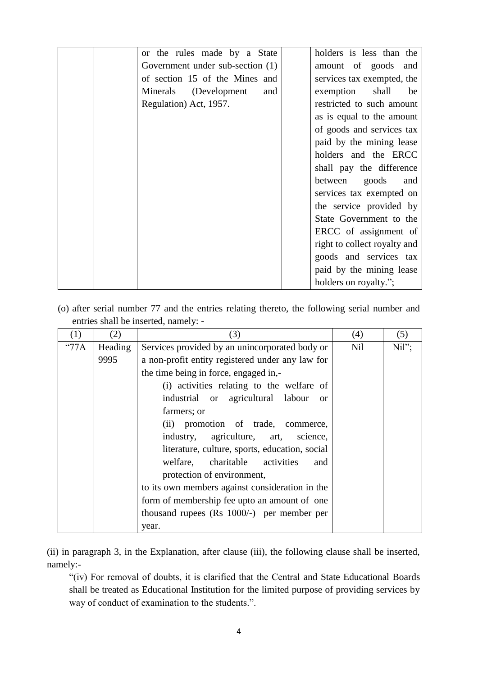| or the rules made by a State     | holders is less than the     |
|----------------------------------|------------------------------|
| Government under sub-section (1) | amount of goods and          |
| of section 15 of the Mines and   | services tax exempted, the   |
| Minerals (Development<br>and     | exemption<br>shall<br>be     |
| Regulation) Act, 1957.           | restricted to such amount    |
|                                  | as is equal to the amount    |
|                                  | of goods and services tax    |
|                                  | paid by the mining lease     |
|                                  | holders and the ERCC         |
|                                  | shall pay the difference     |
|                                  | between goods<br>and         |
|                                  | services tax exempted on     |
|                                  | the service provided by      |
|                                  | State Government to the      |
|                                  | ERCC of assignment of        |
|                                  | right to collect royalty and |
|                                  | goods and services tax       |
|                                  | paid by the mining lease     |
|                                  | holders on royalty.";        |

(o) after serial number 77 and the entries relating thereto, the following serial number and entries shall be inserted, namely: -

| (1)           | (2)     | (3)                                                | (4) | (5)  |
|---------------|---------|----------------------------------------------------|-----|------|
| $^{\circ}77A$ | Heading | Services provided by an unincorporated body or     | Nil | Nil" |
|               | 9995    | a non-profit entity registered under any law for   |     |      |
|               |         | the time being in force, engaged in,-              |     |      |
|               |         | (i) activities relating to the welfare of          |     |      |
|               |         | industrial or agricultural labour<br><sub>or</sub> |     |      |
|               |         | farmers; or                                        |     |      |
|               |         | (ii) promotion of trade, commerce,                 |     |      |
|               |         | industry, agriculture, art, science,               |     |      |
|               |         | literature, culture, sports, education, social     |     |      |
|               |         | welfare, charitable activities<br>and              |     |      |
|               |         | protection of environment,                         |     |      |
|               |         | to its own members against consideration in the    |     |      |
|               |         | form of membership fee upto an amount of one       |     |      |
|               |         | thousand rupees $(Rs\ 1000/-)$ per member per      |     |      |
|               |         | year.                                              |     |      |

(ii) in paragraph 3, in the Explanation, after clause (iii), the following clause shall be inserted, namely:-

"(iv) For removal of doubts, it is clarified that the Central and State Educational Boards shall be treated as Educational Institution for the limited purpose of providing services by way of conduct of examination to the students.".